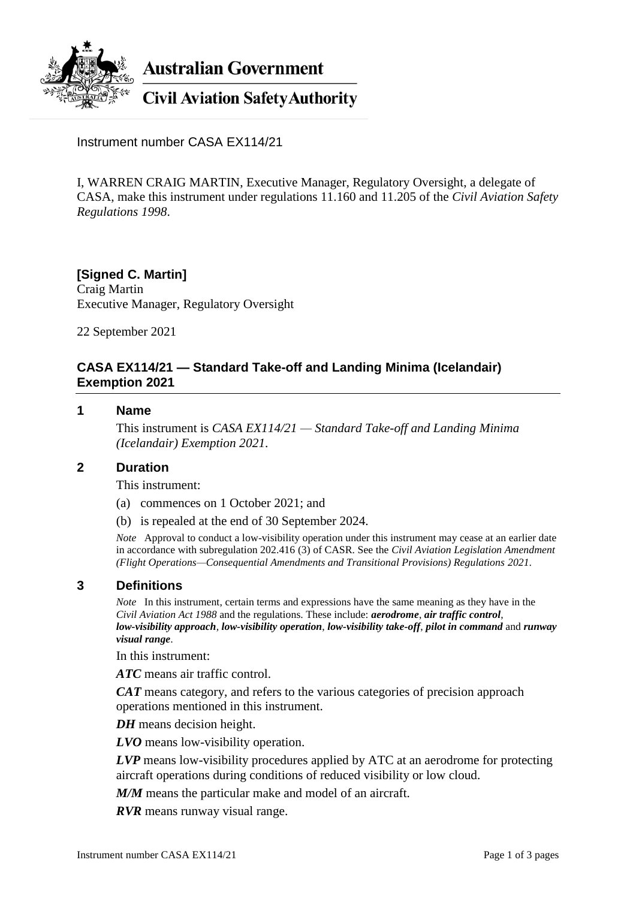

**Australian Government** 

**Civil Aviation Safety Authority** 

Instrument number CASA EX114/21

I, WARREN CRAIG MARTIN, Executive Manager, Regulatory Oversight, a delegate of CASA, make this instrument under regulations 11.160 and 11.205 of the *Civil Aviation Safety Regulations 1998*.

**[Signed C. Martin]** Craig Martin Executive Manager, Regulatory Oversight

22 September 2021

### **CASA EX114/21 — Standard Take-off and Landing Minima (Icelandair) Exemption 2021**

#### **1 Name**

This instrument is *CASA EX114/21 — Standard Take-off and Landing Minima (Icelandair) Exemption 2021*.

#### **2 Duration**

This instrument:

- (a) commences on 1 October 2021; and
- (b) is repealed at the end of 30 September 2024.

*Note* Approval to conduct a low-visibility operation under this instrument may cease at an earlier date in accordance with subregulation 202.416 (3) of CASR. See the *Civil Aviation Legislation Amendment (Flight Operations—Consequential Amendments and Transitional Provisions) Regulations 2021*.

#### **3 Definitions**

*Note* In this instrument, certain terms and expressions have the same meaning as they have in the *Civil Aviation Act 1988* and the regulations. These include: *aerodrome*, *air traffic control*, *low-visibility approach*, *low-visibility operation*, *low-visibility take-off*, *pilot in command* and *runway visual range*.

In this instrument:

*ATC* means air traffic control.

*CAT* means category, and refers to the various categories of precision approach operations mentioned in this instrument.

*DH* means decision height.

*LVO* means low-visibility operation.

*LVP* means low-visibility procedures applied by ATC at an aerodrome for protecting aircraft operations during conditions of reduced visibility or low cloud.

*M/M* means the particular make and model of an aircraft.

*RVR* means runway visual range.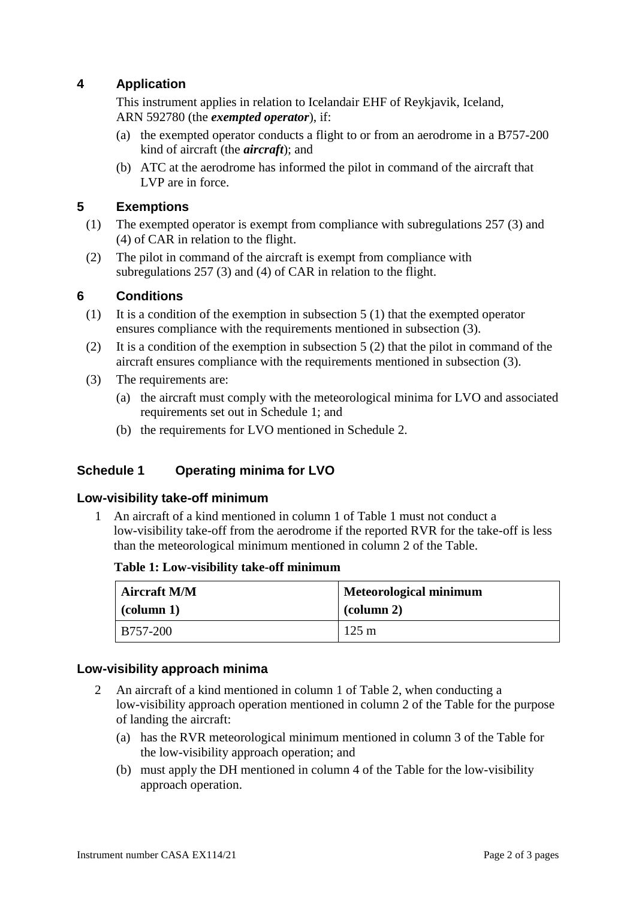# **4 Application**

This instrument applies in relation to Icelandair EHF of Reykjavik, Iceland, ARN 592780 (the *exempted operator*), if:

- (a) the exempted operator conducts a flight to or from an aerodrome in a B757-200 kind of aircraft (the *aircraft*); and
- (b) ATC at the aerodrome has informed the pilot in command of the aircraft that LVP are in force.

## **5 Exemptions**

- (1) The exempted operator is exempt from compliance with subregulations 257 (3) and (4) of CAR in relation to the flight.
- (2) The pilot in command of the aircraft is exempt from compliance with subregulations 257 (3) and (4) of CAR in relation to the flight.

### **6 Conditions**

- (1) It is a condition of the exemption in subsection  $5(1)$  that the exempted operator ensures compliance with the requirements mentioned in subsection (3).
- (2) It is a condition of the exemption in subsection 5 (2) that the pilot in command of the aircraft ensures compliance with the requirements mentioned in subsection (3).
- (3) The requirements are:
	- (a) the aircraft must comply with the meteorological minima for LVO and associated requirements set out in Schedule 1; and
	- (b) the requirements for LVO mentioned in Schedule 2.

### **Schedule 1 Operating minima for LVO**

#### **Low-visibility take-off minimum**

1 An aircraft of a kind mentioned in column 1 of Table 1 must not conduct a low-visibility take-off from the aerodrome if the reported RVR for the take-off is less than the meteorological minimum mentioned in column 2 of the Table.

#### **Table 1: Low-visibility take-off minimum**

| <b>Aircraft M/M</b> | <b>Meteorological minimum</b> |  |
|---------------------|-------------------------------|--|
| $\vert$ (column 1)  | $\alpha$ (column 2)           |  |
| B757-200            | $125 \text{ m}$               |  |

#### **Low-visibility approach minima**

- 2 An aircraft of a kind mentioned in column 1 of Table 2, when conducting a low-visibility approach operation mentioned in column 2 of the Table for the purpose of landing the aircraft:
	- (a) has the RVR meteorological minimum mentioned in column 3 of the Table for the low-visibility approach operation; and
	- (b) must apply the DH mentioned in column 4 of the Table for the low-visibility approach operation.